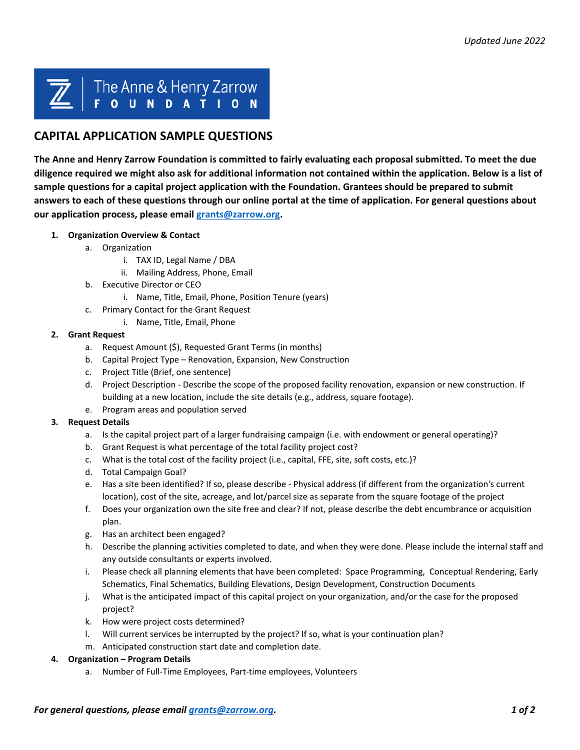# The Anne & Henry Zarrow

# **CAPITAL APPLICATION SAMPLE QUESTIONS**

**The Anne and Henry Zarrow Foundation is committed to fairly evaluating each proposal submitted. To meet the due diligence required we might also ask for additional information not contained within the application. Below is a list of sample questions for a capital project application with the Foundation. Grantees should be prepared to submit answers to each of these questions through our online portal at the time of application. For general questions about our application process, please email [grants@zarrow.org.](mailto:grants@zarrow.org)** 

- **1. Organization Overview & Contact** 
	- a. Organization
		- i. TAX ID, Legal Name / DBA
		- ii. Mailing Address, Phone, Email
	- b. Executive Director or CEO
		- i. Name, Title, Email, Phone, Position Tenure (years)
	- c. Primary Contact for the Grant Request
		- i. Name, Title, Email, Phone

#### **2. Grant Request**

- a. Request Amount (\$), Requested Grant Terms (in months)
- b. Capital Project Type Renovation, Expansion, New Construction
- c. Project Title (Brief, one sentence)
- d. Project Description Describe the scope of the proposed facility renovation, expansion or new construction. If building at a new location, include the site details (e.g., address, square footage).
- e. Program areas and population served

## **3. Request Details**

- a. Is the capital project part of a larger fundraising campaign (i.e. with endowment or general operating)?
- b. Grant Request is what percentage of the total facility project cost?
- c. What is the total cost of the facility project (i.e., capital, FFE, site, soft costs, etc.)?
- d. Total Campaign Goal?
- e. Has a site been identified? If so, please describe Physical address (if different from the organization's current location), cost of the site, acreage, and lot/parcel size as separate from the square footage of the project
- f. Does your organization own the site free and clear? If not, please describe the debt encumbrance or acquisition plan.
- g. Has an architect been engaged?
- h. Describe the planning activities completed to date, and when they were done. Please include the internal staff and any outside consultants or experts involved.
- i. Please check all planning elements that have been completed: Space Programming, Conceptual Rendering, Early Schematics, Final Schematics, Building Elevations, Design Development, Construction Documents
- j. What is the anticipated impact of this capital project on your organization, and/or the case for the proposed project?
- k. How were project costs determined?
- l. Will current services be interrupted by the project? If so, what is your continuation plan?
- m. Anticipated construction start date and completion date.

#### **4. Organization – Program Details**

a. Number of Full-Time Employees, Part-time employees, Volunteers